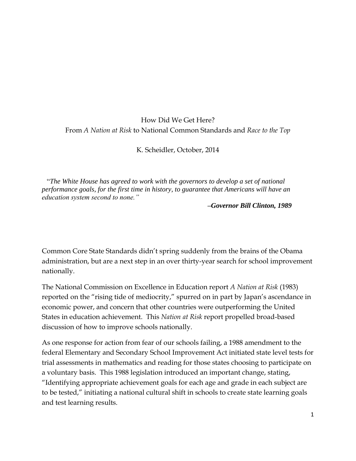## How Did We Get Here? From *A Nation at Risk* to National Common Standards and *Race to the Top*

K. Scheidler, October, 2014

"*The White House has agreed to work with the governors to develop a set of national performance goals, for the first time in history, to guarantee that Americans will have an education system second to none."*

 *–Governor Bill Clinton, 1989*

Common Core State Standards didn't spring suddenly from the brains of the Obama administration, but are a next step in an over thirty-year search for school improvement nationally.

The National Commission on Excellence in Education report *A Nation at Risk* (1983) reported on the "rising tide of mediocrity," spurred on in part by Japan's ascendance in economic power, and concern that other countries were outperforming the United States in education achievement. This *Nation at Risk* report propelled broad-based discussion of how to improve schools nationally.

As one response for action from fear of our schools failing, a 1988 amendment to the federal Elementary and Secondary School Improvement Act initiated state level tests for trial assessments in mathematics and reading for those states choosing to participate on a voluntary basis. This 1988 legislation introduced an important change, stating, "Identifying appropriate achievement goals for each age and grade in each subject are to be tested," initiating a national cultural shift in schools to create state learning goals and test learning results.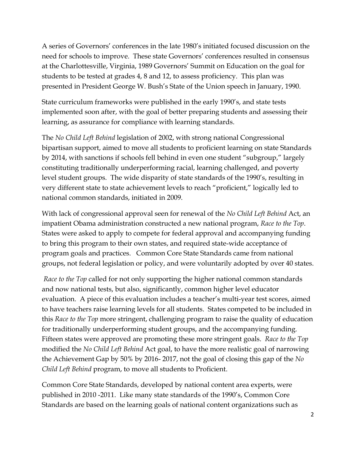A series of Governors' conferences in the late 1980's initiated focused discussion on the need for schools to improve. These state Governors' conferences resulted in consensus at the Charlottesville, Virginia, 1989 Governors' Summit on Education on the goal for students to be tested at grades 4, 8 and 12, to assess proficiency. This plan was presented in President George W. Bush's State of the Union speech in January, 1990.

State curriculum frameworks were published in the early 1990's, and state tests implemented soon after, with the goal of better preparing students and assessing their learning, as assurance for compliance with learning standards.

The *No Child Left Behind* legislation of 2002, with strong national Congressional bipartisan support, aimed to move all students to proficient learning on state Standards by 2014, with sanctions if schools fell behind in even one student "subgroup," largely constituting traditionally underperforming racial, learning challenged, and poverty level student groups. The wide disparity of state standards of the 1990's, resulting in very different state to state achievement levels to reach "proficient," logically led to national common standards, initiated in 2009.

With lack of congressional approval seen for renewal of the *No Child Left Behind* Act, an impatient Obama administration constructed a new national program, *Race to the Top*. States were asked to apply to compete for federal approval and accompanying funding to bring this program to their own states, and required state-wide acceptance of program goals and practices. Common Core State Standards came from national groups, not federal legislation or policy, and were voluntarily adopted by over 40 states.

*Race to the Top* called for not only supporting the higher national common standards and now national tests, but also, significantly, common higher level educator evaluation. A piece of this evaluation includes a teacher's multi-year test scores, aimed to have teachers raise learning levels for all students. States competed to be included in this *Race to the Top* more stringent, challenging program to raise the quality of education for traditionally underperforming student groups, and the accompanying funding. Fifteen states were approved are promoting these more stringent goals. *Race to the Top* modified the *No Child Left Behind* Act goal, to have the more realistic goal of narrowing the Achievement Gap by 50% by 2016- 2017, not the goal of closing this gap of the *No Child Left Behind* program, to move all students to Proficient.

Common Core State Standards, developed by national content area experts, were published in 2010 -2011. Like many state standards of the 1990's, Common Core Standards are based on the learning goals of national content organizations such as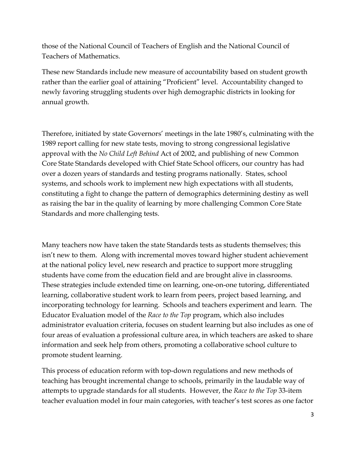those of the National Council of Teachers of English and the National Council of Teachers of Mathematics.

These new Standards include new measure of accountability based on student growth rather than the earlier goal of attaining "Proficient" level. Accountability changed to newly favoring struggling students over high demographic districts in looking for annual growth.

Therefore, initiated by state Governors' meetings in the late 1980's, culminating with the 1989 report calling for new state tests, moving to strong congressional legislative approval with the *No Child Left Behind* Act of 2002, and publishing of new Common Core State Standards developed with Chief State School officers, our country has had over a dozen years of standards and testing programs nationally. States, school systems, and schools work to implement new high expectations with all students, constituting a fight to change the pattern of demographics determining destiny as well as raising the bar in the quality of learning by more challenging Common Core State Standards and more challenging tests.

Many teachers now have taken the state Standards tests as students themselves; this isn't new to them. Along with incremental moves toward higher student achievement at the national policy level, new research and practice to support more struggling students have come from the education field and are brought alive in classrooms. These strategies include extended time on learning, one-on-one tutoring, differentiated learning, collaborative student work to learn from peers, project based learning, and incorporating technology for learning. Schools and teachers experiment and learn. The Educator Evaluation model of the *Race to the Top* program, which also includes administrator evaluation criteria, focuses on student learning but also includes as one of four areas of evaluation a professional culture area, in which teachers are asked to share information and seek help from others, promoting a collaborative school culture to promote student learning.

This process of education reform with top-down regulations and new methods of teaching has brought incremental change to schools, primarily in the laudable way of attempts to upgrade standards for all students. However, the *Race to the Top* 33-item teacher evaluation model in four main categories, with teacher's test scores as one factor